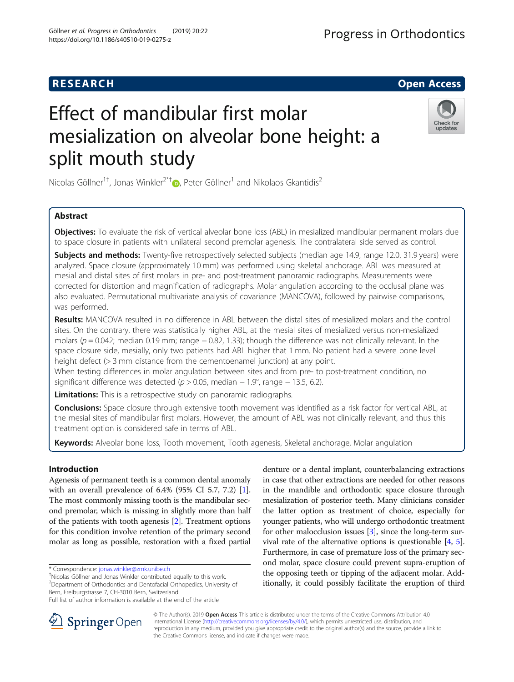## **RESEARCH CHILD CONTROL** CONTROL CONTROL CONTROL CONTROL CONTROL CONTROL CONTROL CONTROL CONTROL CONTROL CONTROL

# Effect of mandibular first molar mesialization on alveolar bone height: a split mouth study



Nicolas Göllner<sup>1[†](http://orcid.org/0000-0001-9716-1000)</sup>, Jonas Winkler<sup>2\*†</sup>®, Peter Göllner<sup>1</sup> and Nikolaos Gkantidis<sup>2</sup>

## Abstract

Objectives: To evaluate the risk of vertical alveolar bone loss (ABL) in mesialized mandibular permanent molars due to space closure in patients with unilateral second premolar agenesis. The contralateral side served as control.

Subjects and methods: Twenty-five retrospectively selected subjects (median age 14.9, range 12.0, 31.9 years) were analyzed. Space closure (approximately 10 mm) was performed using skeletal anchorage. ABL was measured at mesial and distal sites of first molars in pre- and post-treatment panoramic radiographs. Measurements were corrected for distortion and magnification of radiographs. Molar angulation according to the occlusal plane was also evaluated. Permutational multivariate analysis of covariance (MANCOVA), followed by pairwise comparisons, was performed.

Results: MANCOVA resulted in no difference in ABL between the distal sites of mesialized molars and the control sites. On the contrary, there was statistically higher ABL, at the mesial sites of mesialized versus non-mesialized molars ( $p = 0.042$ ; median 0.19 mm; range  $-0.82$ , 1.33); though the difference was not clinically relevant. In the space closure side, mesially, only two patients had ABL higher that 1 mm. No patient had a severe bone level height defect (> 3 mm distance from the cementoenamel junction) at any point.

When testing differences in molar angulation between sites and from pre- to post-treatment condition, no significant difference was detected ( $p > 0.05$ , median − 1.9°, range − 13.5, 6.2).

**Limitations:** This is a retrospective study on panoramic radiographs.

Conclusions: Space closure through extensive tooth movement was identified as a risk factor for vertical ABL, at the mesial sites of mandibular first molars. However, the amount of ABL was not clinically relevant, and thus this treatment option is considered safe in terms of ABL.

Keywords: Alveolar bone loss, Tooth movement, Tooth agenesis, Skeletal anchorage, Molar angulation

## Introduction

Agenesis of permanent teeth is a common dental anomaly with an overall prevalence of 6.4% (95% CI 5.7, 7.2) [[1](#page-6-0)]. The most commonly missing tooth is the mandibular second premolar, which is missing in slightly more than half of the patients with tooth agenesis [\[2\]](#page-6-0). Treatment options for this condition involve retention of the primary second molar as long as possible, restoration with a fixed partial

\* Correspondence: [jonas.winkler@zmk.unibe.ch](mailto:jonas.winkler@zmk.unibe.ch) †

denture or a dental implant, counterbalancing extractions in case that other extractions are needed for other reasons in the mandible and orthodontic space closure through mesialization of posterior teeth. Many clinicians consider the latter option as treatment of choice, especially for younger patients, who will undergo orthodontic treatment for other malocclusion issues  $[3]$ , since the long-term survival rate of the alternative options is questionable  $[4, 5]$  $[4, 5]$  $[4, 5]$  $[4, 5]$ . Furthermore, in case of premature loss of the primary second molar, space closure could prevent supra-eruption of the opposing teeth or tipping of the adjacent molar. Additionally, it could possibly facilitate the eruption of third



© The Author(s). 2019 Open Access This article is distributed under the terms of the Creative Commons Attribution 4.0 International License ([http://creativecommons.org/licenses/by/4.0/\)](http://creativecommons.org/licenses/by/4.0/), which permits unrestricted use, distribution, and reproduction in any medium, provided you give appropriate credit to the original author(s) and the source, provide a link to the Creative Commons license, and indicate if changes were made.

Nicolas Göllner and Jonas Winkler contributed equally to this work. 2 Department of Orthodontics and Dentofacial Orthopedics, University of Bern, Freiburgstrasse 7, CH-3010 Bern, Switzerland

Full list of author information is available at the end of the article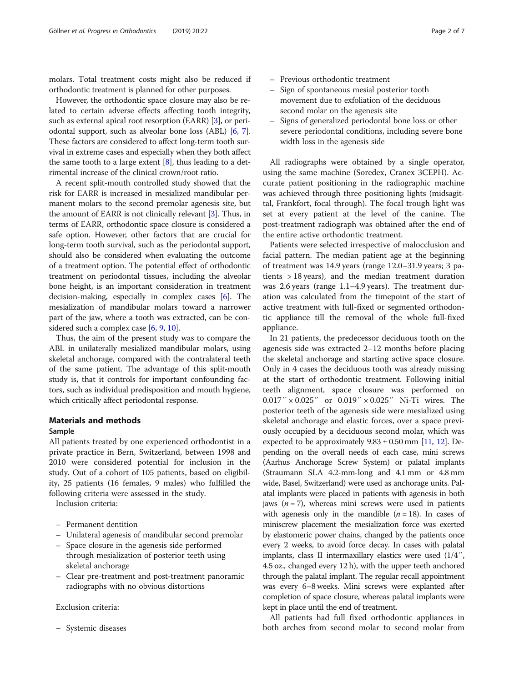molars. Total treatment costs might also be reduced if orthodontic treatment is planned for other purposes.

However, the orthodontic space closure may also be related to certain adverse effects affecting tooth integrity, such as external apical root resorption (EARR) [[3\]](#page-6-0), or periodontal support, such as alveolar bone loss (ABL) [[6,](#page-6-0) [7](#page-6-0)]. These factors are considered to affect long-term tooth survival in extreme cases and especially when they both affect the same tooth to a large extent  $[8]$  $[8]$  $[8]$ , thus leading to a detrimental increase of the clinical crown/root ratio.

A recent split-mouth controlled study showed that the risk for EARR is increased in mesialized mandibular permanent molars to the second premolar agenesis site, but the amount of EARR is not clinically relevant [\[3](#page-6-0)]. Thus, in terms of EARR, orthodontic space closure is considered a safe option. However, other factors that are crucial for long-term tooth survival, such as the periodontal support, should also be considered when evaluating the outcome of a treatment option. The potential effect of orthodontic treatment on periodontal tissues, including the alveolar bone height, is an important consideration in treatment decision-making, especially in complex cases [[6](#page-6-0)]. The mesialization of mandibular molars toward a narrower part of the jaw, where a tooth was extracted, can be con-sidered such a complex case [\[6,](#page-6-0) [9](#page-6-0), [10\]](#page-6-0).

Thus, the aim of the present study was to compare the ABL in unilaterally mesialized mandibular molars, using skeletal anchorage, compared with the contralateral teeth of the same patient. The advantage of this split-mouth study is, that it controls for important confounding factors, such as individual predisposition and mouth hygiene, which critically affect periodontal response.

#### Materials and methods

#### Sample

All patients treated by one experienced orthodontist in a private practice in Bern, Switzerland, between 1998 and 2010 were considered potential for inclusion in the study. Out of a cohort of 105 patients, based on eligibility, 25 patients (16 females, 9 males) who fulfilled the following criteria were assessed in the study.

Inclusion criteria:

- Permanent dentition
- Unilateral agenesis of mandibular second premolar
- Space closure in the agenesis side performed through mesialization of posterior teeth using skeletal anchorage
- Clear pre-treatment and post-treatment panoramic radiographs with no obvious distortions

Exclusion criteria:

– Systemic diseases

- Previous orthodontic treatment
- Sign of spontaneous mesial posterior tooth movement due to exfoliation of the deciduous second molar on the agenesis site
- Signs of generalized periodontal bone loss or other severe periodontal conditions, including severe bone width loss in the agenesis side

All radiographs were obtained by a single operator, using the same machine (Soredex, Cranex 3CEPH). Accurate patient positioning in the radiographic machine was achieved through three positioning lights (midsagittal, Frankfort, focal through). The focal trough light was set at every patient at the level of the canine. The post-treatment radiograph was obtained after the end of the entire active orthodontic treatment.

Patients were selected irrespective of malocclusion and facial pattern. The median patient age at the beginning of treatment was 14.9 years (range 12.0–31.9 years; 3 patients > 18 years), and the median treatment duration was 2.6 years (range 1.1–4.9 years). The treatment duration was calculated from the timepoint of the start of active treatment with full-fixed or segmented orthodontic appliance till the removal of the whole full-fixed appliance.

In 21 patients, the predecessor deciduous tooth on the agenesis side was extracted 2–12 months before placing the skeletal anchorage and starting active space closure. Only in 4 cases the deciduous tooth was already missing at the start of orthodontic treatment. Following initial teeth alignment, space closure was performed on 0.017″ × 0.025″ or 0.019″ × 0.025″ Ni-Ti wires. The posterior teeth of the agenesis side were mesialized using skeletal anchorage and elastic forces, over a space previously occupied by a deciduous second molar, which was expected to be approximately  $9.83 \pm 0.50$  mm [\[11,](#page-6-0) [12\]](#page-6-0). Depending on the overall needs of each case, mini screws (Aarhus Anchorage Screw System) or palatal implants (Straumann SLA 4.2-mm-long and 4.1 mm or 4.8 mm wide, Basel, Switzerland) were used as anchorage units. Palatal implants were placed in patients with agenesis in both jaws  $(n = 7)$ , whereas mini screws were used in patients with agenesis only in the mandible  $(n = 18)$ . In cases of miniscrew placement the mesialization force was exerted by elastomeric power chains, changed by the patients once every 2 weeks, to avoid force decay. In cases with palatal implants, class II intermaxillary elastics were used (1/4″, 4.5 oz., changed every 12 h), with the upper teeth anchored through the palatal implant. The regular recall appointment was every 6–8 weeks. Mini screws were explanted after completion of space closure, whereas palatal implants were kept in place until the end of treatment.

All patients had full fixed orthodontic appliances in both arches from second molar to second molar from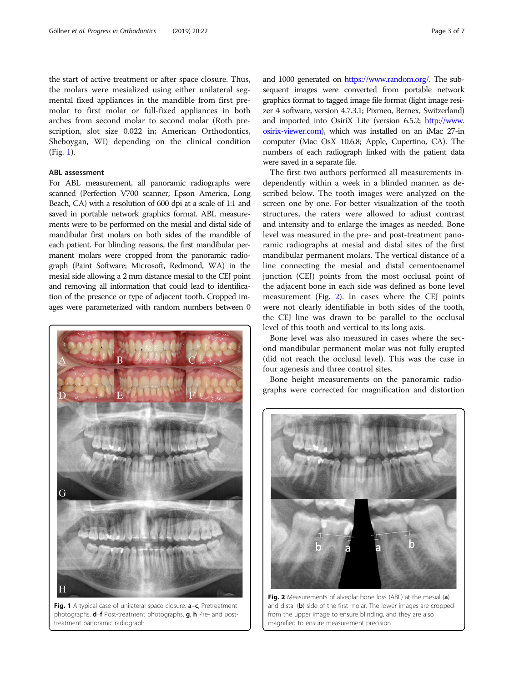the start of active treatment or after space closure. Thus, the molars were mesialized using either unilateral segmental fixed appliances in the mandible from first premolar to first molar or full-fixed appliances in both arches from second molar to second molar (Roth prescription, slot size 0.022 in; American Orthodontics, Sheboygan, WI) depending on the clinical condition (Fig. 1).

### ABL assessment

For ABL measurement, all panoramic radiographs were scanned (Perfection V700 scanner; Epson America, Long Beach, CA) with a resolution of 600 dpi at a scale of 1:1 and saved in portable network graphics format. ABL measurements were to be performed on the mesial and distal side of mandibular first molars on both sides of the mandible of each patient. For blinding reasons, the first mandibular permanent molars were cropped from the panoramic radiograph (Paint Software; Microsoft, Redmond, WA) in the mesial side allowing a 2 mm distance mesial to the CEJ point and removing all information that could lead to identification of the presence or type of adjacent tooth. Cropped images were parameterized with random numbers between 0



Fig. 1 A typical case of unilateral space closure. a-c, Pretreatment photographs. **d–f** Post-treatment photographs. **g**, **h** Pre- and posttreatment panoramic radiograph

and 1000 generated on <https://www.random.org/>. The subsequent images were converted from portable network graphics format to tagged image file format (light image resizer 4 software, version 4.7.3.1; Pixmeo, Bernex, Switzerland) and imported into OsiriX Lite (version 6.5.2; [http://www.](http://www.osirix-viewer.com) [osirix-viewer.com](http://www.osirix-viewer.com)), which was installed on an iMac 27-in computer (Mac OsX 10.6.8; Apple, Cupertino, CA). The numbers of each radiograph linked with the patient data were saved in a separate file.

The first two authors performed all measurements independently within a week in a blinded manner, as described below. The tooth images were analyzed on the screen one by one. For better visualization of the tooth structures, the raters were allowed to adjust contrast and intensity and to enlarge the images as needed. Bone level was measured in the pre- and post-treatment panoramic radiographs at mesial and distal sites of the first mandibular permanent molars. The vertical distance of a line connecting the mesial and distal cementoenamel junction (CEJ) points from the most occlusal point of the adjacent bone in each side was defined as bone level measurement (Fig. 2). In cases where the CEJ points were not clearly identifiable in both sides of the tooth, the CEJ line was drawn to be parallel to the occlusal level of this tooth and vertical to its long axis.

Bone level was also measured in cases where the second mandibular permanent molar was not fully erupted (did not reach the occlusal level). This was the case in four agenesis and three control sites.

Bone height measurements on the panoramic radiographs were corrected for magnification and distortion



Fig. 2 Measurements of alveolar bone loss (ABL) at the mesial (a) and distal (b) side of the first molar. The lower images are cropped from the upper image to ensure blinding, and they are also magnified to ensure measurement precision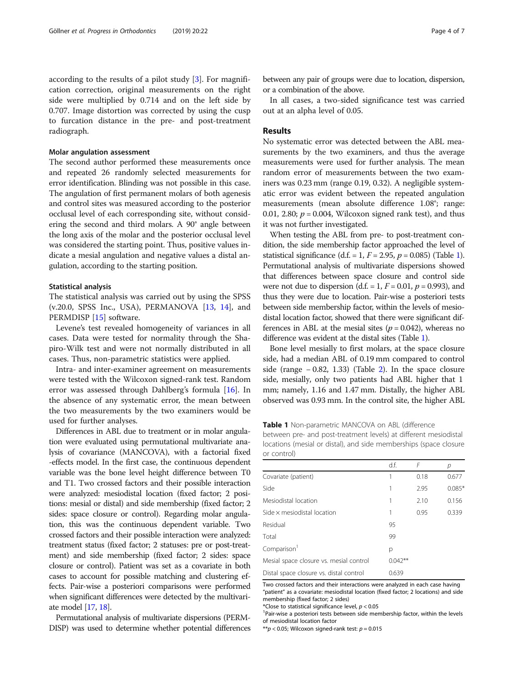#### Molar angulation assessment

The second author performed these measurements once and repeated 26 randomly selected measurements for error identification. Blinding was not possible in this case. The angulation of first permanent molars of both agenesis and control sites was measured according to the posterior occlusal level of each corresponding site, without considering the second and third molars. A 90° angle between the long axis of the molar and the posterior occlusal level was considered the starting point. Thus, positive values indicate a mesial angulation and negative values a distal angulation, according to the starting position.

#### Statistical analysis

The statistical analysis was carried out by using the SPSS (v.20.0, SPSS Inc., USA), PERMANOVA [\[13](#page-6-0), [14](#page-6-0)], and PERMDISP [\[15\]](#page-6-0) software.

Levene's test revealed homogeneity of variances in all cases. Data were tested for normality through the Shapiro-Wilk test and were not normally distributed in all cases. Thus, non-parametric statistics were applied.

Intra- and inter-examiner agreement on measurements were tested with the Wilcoxon signed-rank test. Random error was assessed through Dahlberg's formula [\[16](#page-6-0)]. In the absence of any systematic error, the mean between the two measurements by the two examiners would be used for further analyses.

Differences in ABL due to treatment or in molar angulation were evaluated using permutational multivariate analysis of covariance (MANCOVA), with a factorial fixed -effects model. In the first case, the continuous dependent variable was the bone level height difference between T0 and T1. Two crossed factors and their possible interaction were analyzed: mesiodistal location (fixed factor; 2 positions: mesial or distal) and side membership (fixed factor; 2 sides: space closure or control). Regarding molar angulation, this was the continuous dependent variable. Two crossed factors and their possible interaction were analyzed: treatment status (fixed factor; 2 statuses: pre or post-treatment) and side membership (fixed factor; 2 sides: space closure or control). Patient was set as a covariate in both cases to account for possible matching and clustering effects. Pair-wise a posteriori comparisons were performed when significant differences were detected by the multivariate model [\[17](#page-6-0), [18](#page-6-0)].

Permutational analysis of multivariate dispersions (PERM-DISP) was used to determine whether potential differences between any pair of groups were due to location, dispersion, or a combination of the above.

In all cases, a two-sided significance test was carried out at an alpha level of 0.05.

### Results

No systematic error was detected between the ABL measurements by the two examiners, and thus the average measurements were used for further analysis. The mean random error of measurements between the two examiners was 0.23 mm (range 0.19, 0.32). A negligible systematic error was evident between the repeated angulation measurements (mean absolute difference 1.08°; range: 0.01, 2.80;  $p = 0.004$ , Wilcoxon signed rank test), and thus it was not further investigated.

When testing the ABL from pre- to post-treatment condition, the side membership factor approached the level of statistical significance (d.f. = 1,  $F = 2.95$ ,  $p = 0.085$ ) (Table 1). Permutational analysis of multivariate dispersions showed that differences between space closure and control side were not due to dispersion  $(d.f. = 1, F = 0.01, p = 0.993)$ , and thus they were due to location. Pair-wise a posteriori tests between side membership factor, within the levels of mesiodistal location factor, showed that there were significant differences in ABL at the mesial sites ( $p = 0.042$ ), whereas no difference was evident at the distal sites (Table 1).

Bone level mesially to first molars, at the space closure side, had a median ABL of 0.19 mm compared to control side (range  $-0.82$ , 1.33) (Table [2\)](#page-4-0). In the space closure side, mesially, only two patients had ABL higher that 1 mm; namely, 1.16 and 1.47 mm. Distally, the higher ABL observed was 0.93 mm. In the control site, the higher ABL

#### Table 1 Non-parametric MANCOVA on ABL (difference

between pre- and post-treatment levels) at different mesiodistal locations (mesial or distal), and side memberships (space closure or control)

|                                         | d.f.      | F    | р        |
|-----------------------------------------|-----------|------|----------|
| Covariate (patient)                     |           | 0.18 | 0.677    |
| Side                                    |           | 2.95 | $0.085*$ |
| Mesiodistal location                    |           | 2.10 | 0.156    |
| Side x mesiodistal location             | 1         | 0.95 | 0.339    |
| Residual                                | 95        |      |          |
| Total                                   | 99        |      |          |
| Comparison <sup>1</sup>                 | р         |      |          |
| Mesial space closure vs. mesial control | $0.042**$ |      |          |
| Distal space closure vs. distal control | 0.639     |      |          |

Two crossed factors and their interactions were analyzed in each case having "patient" as a covariate: mesiodistal location (fixed factor; 2 locations) and side membership (fixed factor; 2 sides)

\*Close to statistical significance level,  $p < 0.05$ 

<sup>1</sup>Pair-wise a posteriori tests between side membership factor, within the levels of mesiodistal location factor

\*\* $p$  < 0.05; Wilcoxon signed-rank test:  $p = 0.015$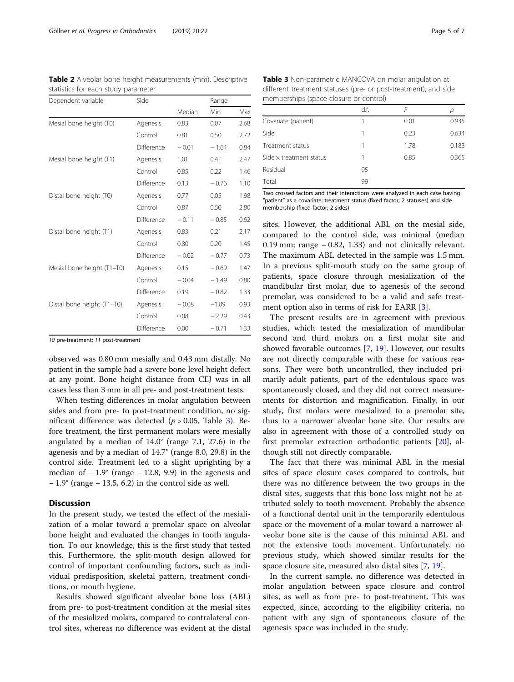observed was 0.80 mm mesially and 0.43 mm distally. No patient in the sample had a severe bone level height defect at any point. Bone height distance from CEJ was in all cases less than 3 mm in all pre- and post-treatment tests.

When testing differences in molar angulation between sides and from pre- to post-treatment condition, no significant difference was detected  $(p > 0.05,$  Table 3). Before treatment, the first permanent molars were mesially angulated by a median of 14.0° (range 7.1, 27.6) in the agenesis and by a median of 14.7° (range 8.0, 29.8) in the control side. Treatment led to a slight uprighting by a median of  $-1.9^\circ$  (range  $-12.8$ , 9.9) in the agenesis and  $-1.9^\circ$  (range  $-13.5, 6.2$ ) in the control side as well.

#### Discussion

In the present study, we tested the effect of the mesialization of a molar toward a premolar space on alveolar bone height and evaluated the changes in tooth angulation. To our knowledge, this is the first study that tested this. Furthermore, the split-mouth design allowed for control of important confounding factors, such as individual predisposition, skeletal pattern, treatment conditions, or mouth hygiene.

Results showed significant alveolar bone loss (ABL) from pre- to post-treatment condition at the mesial sites of the mesialized molars, compared to contralateral control sites, whereas no difference was evident at the distal Table 3 Non-parametric MANCOVA on molar angulation at different treatment statuses (pre- or post-treatment), and side memberships (space closure or control)

|                                | d.f. |      | р     |
|--------------------------------|------|------|-------|
| Covariate (patient)            |      | 0.01 | 0.935 |
| Side                           |      | 0.23 | 0.634 |
| Treatment status               |      | 1.78 | 0.183 |
| Side $\times$ treatment status |      | 0.85 | 0.365 |
| Residual                       | 95   |      |       |
| Total                          | 99   |      |       |

Two crossed factors and their interactions were analyzed in each case having "patient" as a covariate: treatment status (fixed factor; 2 statuses) and side membership (fixed factor; 2 sides)

sites. However, the additional ABL on the mesial side, compared to the control side, was minimal (median 0.19 mm; range − 0.82, 1.33) and not clinically relevant. The maximum ABL detected in the sample was 1.5 mm. In a previous split-mouth study on the same group of patients, space closure through mesialization of the mandibular first molar, due to agenesis of the second premolar, was considered to be a valid and safe treatment option also in terms of risk for EARR [\[3](#page-6-0)].

The present results are in agreement with previous studies, which tested the mesialization of mandibular second and third molars on a first molar site and showed favorable outcomes [[7,](#page-6-0) [19\]](#page-6-0). However, our results are not directly comparable with these for various reasons. They were both uncontrolled, they included primarily adult patients, part of the edentulous space was spontaneously closed, and they did not correct measurements for distortion and magnification. Finally, in our study, first molars were mesialized to a premolar site, thus to a narrower alveolar bone site. Our results are also in agreement with those of a controlled study on first premolar extraction orthodontic patients [[20\]](#page-6-0), although still not directly comparable.

The fact that there was minimal ABL in the mesial sites of space closure cases compared to controls, but there was no difference between the two groups in the distal sites, suggests that this bone loss might not be attributed solely to tooth movement. Probably the absence of a functional dental unit in the temporarily edentulous space or the movement of a molar toward a narrower alveolar bone site is the cause of this minimal ABL and not the extensive tooth movement. Unfortunately, no previous study, which showed similar results for the space closure site, measured also distal sites [[7,](#page-6-0) [19\]](#page-6-0).

In the current sample, no difference was detected in molar angulation between space closure and control sites, as well as from pre- to post-treatment. This was expected, since, according to the eligibility criteria, no patient with any sign of spontaneous closure of the agenesis space was included in the study.

<span id="page-4-0"></span>Göllner et al. Progress in Orthodontics (2019) 20:22 Page 5 of 7

statistics for each study parameter

Table 2 Alveolar bone height measurements (mm). Descriptive

Median Min Max

Dependent variable Side Side Range

|                            |            |         |         | $\sim$ |
|----------------------------|------------|---------|---------|--------|
| Mesial bone height (T0)    | Agenesis   | 0.83    | 0.07    | 2.68   |
|                            | Control    | 0.81    | 0.50    | 2.72   |
|                            | Difference | $-0.01$ | $-1.64$ | 0.84   |
| Mesial bone height (T1)    | Agenesis   | 1.01    | 0.41    | 2.47   |
|                            | Control    | 0.85    | 0.22    | 1.46   |
|                            | Difference | 0.13    | $-0.76$ | 1.10   |
| Distal bone height (T0)    | Agenesis   | 0.77    | 0.05    | 1.98   |
|                            | Control    | 0.87    | 0.50    | 2.80   |
|                            | Difference | $-0.11$ | $-0.85$ | 0.62   |
| Distal bone height (T1)    | Agenesis   | 0.83    | 0.21    | 2.17   |
|                            | Control    | 0.80    | 0.20    | 1.45   |
|                            | Difference | $-0.02$ | $-0.77$ | 0.73   |
| Mesial bone height (T1-T0) | Agenesis   | 0.15    | $-0.69$ | 1.47   |
|                            | Control    | $-0.04$ | $-1.49$ | 0.80   |
|                            | Difference | 0.19    | $-0.82$ | 1.33   |
| Distal bone height (T1-T0) | Agenesis   | $-0.08$ | $-1.09$ | 0.93   |
|                            | Control    | 0.08    | $-2.29$ | 0.43   |
|                            | Difference | 0.00    | $-0.71$ | 1.33   |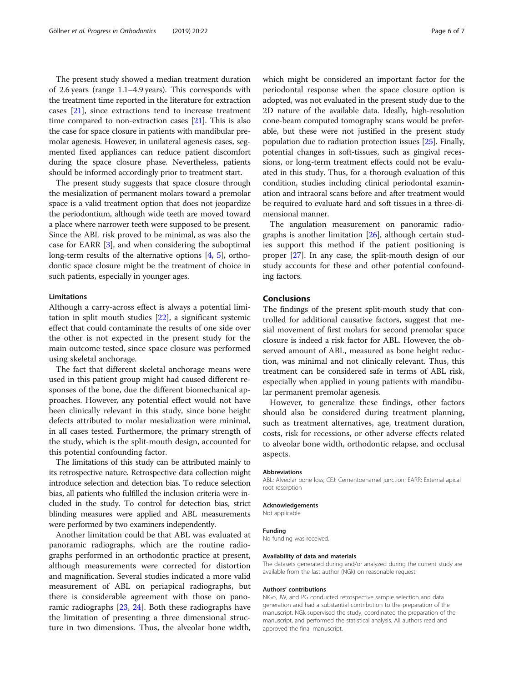The present study showed a median treatment duration of 2.6 years (range 1.1–4.9 years). This corresponds with the treatment time reported in the literature for extraction cases [\[21\]](#page-6-0), since extractions tend to increase treatment time compared to non-extraction cases [[21](#page-6-0)]. This is also the case for space closure in patients with mandibular premolar agenesis. However, in unilateral agenesis cases, segmented fixed appliances can reduce patient discomfort during the space closure phase. Nevertheless, patients should be informed accordingly prior to treatment start.

The present study suggests that space closure through the mesialization of permanent molars toward a premolar space is a valid treatment option that does not jeopardize the periodontium, although wide teeth are moved toward a place where narrower teeth were supposed to be present. Since the ABL risk proved to be minimal, as was also the case for EARR [[3\]](#page-6-0), and when considering the suboptimal long-term results of the alternative options [[4](#page-6-0), [5](#page-6-0)], orthodontic space closure might be the treatment of choice in such patients, especially in younger ages.

#### **Limitations**

Although a carry-across effect is always a potential limitation in split mouth studies [\[22\]](#page-6-0), a significant systemic effect that could contaminate the results of one side over the other is not expected in the present study for the main outcome tested, since space closure was performed using skeletal anchorage.

The fact that different skeletal anchorage means were used in this patient group might had caused different responses of the bone, due the different biomechanical approaches. However, any potential effect would not have been clinically relevant in this study, since bone height defects attributed to molar mesialization were minimal, in all cases tested. Furthermore, the primary strength of the study, which is the split-mouth design, accounted for this potential confounding factor.

The limitations of this study can be attributed mainly to its retrospective nature. Retrospective data collection might introduce selection and detection bias. To reduce selection bias, all patients who fulfilled the inclusion criteria were included in the study. To control for detection bias, strict blinding measures were applied and ABL measurements were performed by two examiners independently.

Another limitation could be that ABL was evaluated at panoramic radiographs, which are the routine radiographs performed in an orthodontic practice at present, although measurements were corrected for distortion and magnification. Several studies indicated a more valid measurement of ABL on periapical radiographs, but there is considerable agreement with those on panoramic radiographs [\[23](#page-6-0), [24\]](#page-6-0). Both these radiographs have the limitation of presenting a three dimensional structure in two dimensions. Thus, the alveolar bone width, which might be considered an important factor for the periodontal response when the space closure option is adopted, was not evaluated in the present study due to the 2D nature of the available data. Ideally, high-resolution cone-beam computed tomography scans would be preferable, but these were not justified in the present study population due to radiation protection issues [\[25\]](#page-6-0). Finally, potential changes in soft-tissues, such as gingival recessions, or long-term treatment effects could not be evaluated in this study. Thus, for a thorough evaluation of this condition, studies including clinical periodontal examination and intraoral scans before and after treatment would be required to evaluate hard and soft tissues in a three-dimensional manner.

The angulation measurement on panoramic radiographs is another limitation [\[26](#page-6-0)], although certain studies support this method if the patient positioning is proper [\[27](#page-6-0)]. In any case, the split-mouth design of our study accounts for these and other potential confounding factors.

#### Conclusions

The findings of the present split-mouth study that controlled for additional causative factors, suggest that mesial movement of first molars for second premolar space closure is indeed a risk factor for ABL. However, the observed amount of ABL, measured as bone height reduction, was minimal and not clinically relevant. Thus, this treatment can be considered safe in terms of ABL risk, especially when applied in young patients with mandibular permanent premolar agenesis.

However, to generalize these findings, other factors should also be considered during treatment planning, such as treatment alternatives, age, treatment duration, costs, risk for recessions, or other adverse effects related to alveolar bone width, orthodontic relapse, and occlusal aspects.

#### Abbreviations

ABL: Alveolar bone loss; CEJ: Cementoenamel junction; EARR: External apical root resorption

#### Acknowledgements

Not applicable

#### Funding

No funding was received.

#### Availability of data and materials

The datasets generated during and/or analyzed during the current study are available from the last author (NGk) on reasonable request.

#### Authors' contributions

NiGo, JW, and PG conducted retrospective sample selection and data generation and had a substantial contribution to the preparation of the manuscript. NGk supervised the study, coordinated the preparation of the manuscript, and performed the statistical analysis. All authors read and approved the final manuscript.